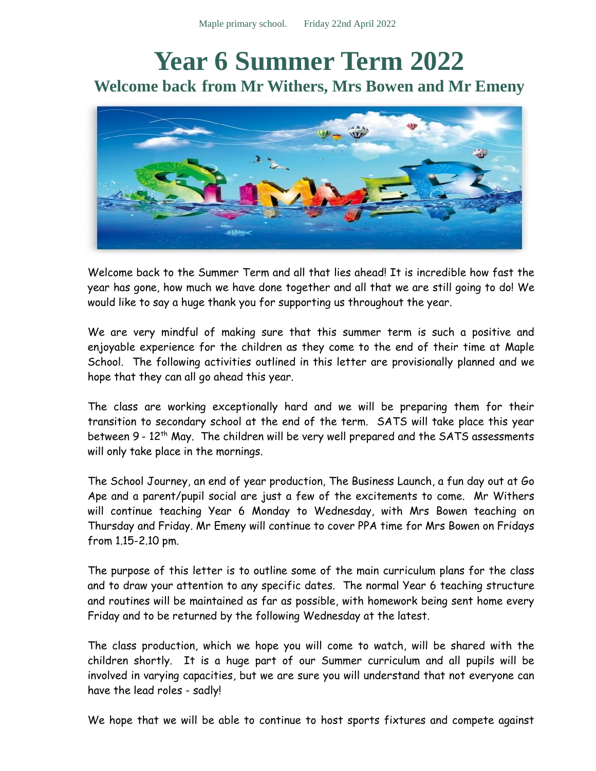## **Year 6 Summer Term 2022 Welcome back from Mr Withers, Mrs Bowen and Mr Emeny**



Welcome back to the Summer Term and all that lies ahead! It is incredible how fast the year has gone, how much we have done together and all that we are still going to do! We would like to say a huge thank you for supporting us throughout the year.

We are very mindful of making sure that this summer term is such a positive and enjoyable experience for the children as they come to the end of their time at Maple School. The following activities outlined in this letter are provisionally planned and we hope that they can all go ahead this year.

The class are working exceptionally hard and we will be preparing them for their transition to secondary school at the end of the term. SATS will take place this year between 9 - 12<sup>th</sup> May. The children will be very well prepared and the SATS assessments will only take place in the mornings.

The School Journey, an end of year production, The Business Launch, a fun day out at Go Ape and a parent/pupil social are just a few of the excitements to come. Mr Withers will continue teaching Year 6 Monday to Wednesday, with Mrs Bowen teaching on Thursday and Friday. Mr Emeny will continue to cover PPA time for Mrs Bowen on Fridays from 1.15-2.10 pm.

The purpose of this letter is to outline some of the main curriculum plans for the class and to draw your attention to any specific dates. The normal Year 6 teaching structure and routines will be maintained as far as possible, with homework being sent home every Friday and to be returned by the following Wednesday at the latest.

The class production, which we hope you will come to watch, will be shared with the children shortly. It is a huge part of our Summer curriculum and all pupils will be involved in varying capacities, but we are sure you will understand that not everyone can have the lead roles - sadly!

We hope that we will be able to continue to host sports fixtures and compete against